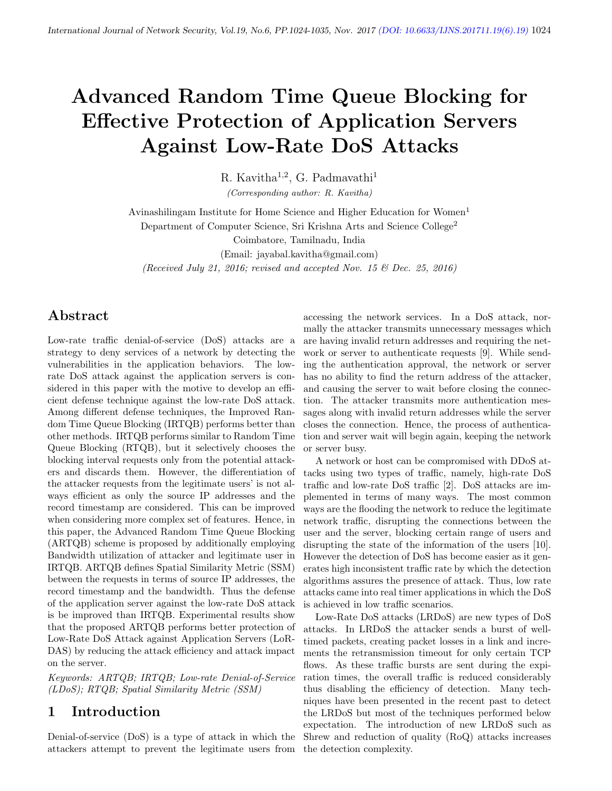# Advanced Random Time Queue Blocking for Effective Protection of Application Servers Against Low-Rate DoS Attacks

R. Kavitha<sup>1,2</sup>, G. Padmavathi<sup>1</sup> (Corresponding author: R. Kavitha)

Avinashilingam Institute for Home Science and Higher Education for Women<sup>1</sup> Department of Computer Science, Sri Krishna Arts and Science College<sup>2</sup>

Coimbatore, Tamilnadu, India

(Email: jayabal.kavitha@gmail.com)

(Received July 21, 2016; revised and accepted Nov. 15  $\mathcal C$  Dec. 25, 2016)

## Abstract

Low-rate traffic denial-of-service (DoS) attacks are a strategy to deny services of a network by detecting the vulnerabilities in the application behaviors. The lowrate DoS attack against the application servers is considered in this paper with the motive to develop an efficient defense technique against the low-rate DoS attack. Among different defense techniques, the Improved Random Time Queue Blocking (IRTQB) performs better than other methods. IRTQB performs similar to Random Time Queue Blocking (RTQB), but it selectively chooses the blocking interval requests only from the potential attackers and discards them. However, the differentiation of the attacker requests from the legitimate users' is not always efficient as only the source IP addresses and the record timestamp are considered. This can be improved when considering more complex set of features. Hence, in this paper, the Advanced Random Time Queue Blocking (ARTQB) scheme is proposed by additionally employing Bandwidth utilization of attacker and legitimate user in IRTQB. ARTQB defines Spatial Similarity Metric (SSM) between the requests in terms of source IP addresses, the record timestamp and the bandwidth. Thus the defense of the application server against the low-rate DoS attack is be improved than IRTQB. Experimental results show that the proposed ARTQB performs better protection of Low-Rate DoS Attack against Application Servers (LoR-DAS) by reducing the attack efficiency and attack impact on the server.

Keywords: ARTQB; IRTQB; Low-rate Denial-of-Service (LDoS); RTQB; Spatial Similarity Metric (SSM)

#### 1 Introduction

Denial-of-service (DoS) is a type of attack in which the attackers attempt to prevent the legitimate users from the detection complexity.

accessing the network services. In a DoS attack, normally the attacker transmits unnecessary messages which are having invalid return addresses and requiring the network or server to authenticate requests [9]. While sending the authentication approval, the network or server has no ability to find the return address of the attacker, and causing the server to wait before closing the connection. The attacker transmits more authentication messages along with invalid return addresses while the server closes the connection. Hence, the process of authentication and server wait will begin again, keeping the network or server busy.

A network or host can be compromised with DDoS attacks using two types of traffic, namely, high-rate DoS traffic and low-rate DoS traffic [2]. DoS attacks are implemented in terms of many ways. The most common ways are the flooding the network to reduce the legitimate network traffic, disrupting the connections between the user and the server, blocking certain range of users and disrupting the state of the information of the users [10]. However the detection of DoS has become easier as it generates high inconsistent traffic rate by which the detection algorithms assures the presence of attack. Thus, low rate attacks came into real timer applications in which the DoS is achieved in low traffic scenarios.

Low-Rate DoS attacks (LRDoS) are new types of DoS attacks. In LRDoS the attacker sends a burst of welltimed packets, creating packet losses in a link and increments the retransmission timeout for only certain TCP flows. As these traffic bursts are sent during the expiration times, the overall traffic is reduced considerably thus disabling the efficiency of detection. Many techniques have been presented in the recent past to detect the LRDoS but most of the techniques performed below expectation. The introduction of new LRDoS such as Shrew and reduction of quality (RoQ) attacks increases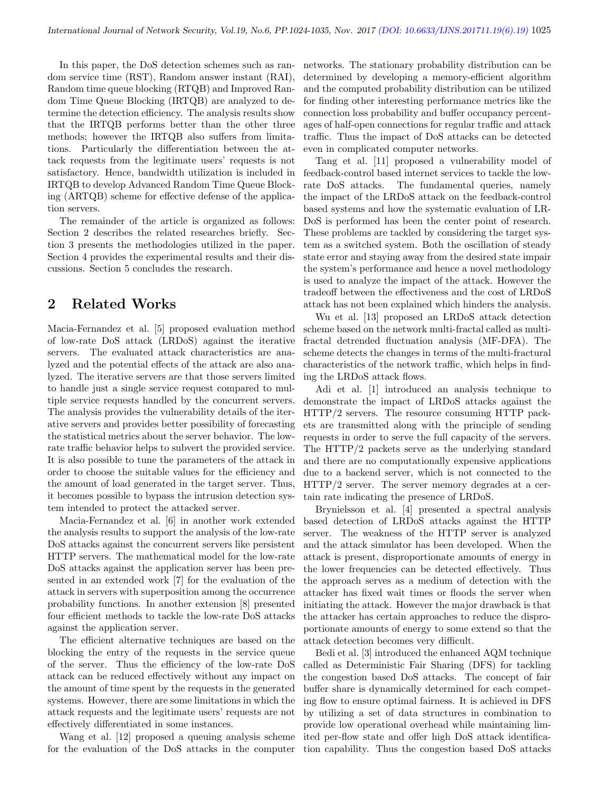In this paper, the DoS detection schemes such as random service time (RST), Random answer instant (RAI), Random time queue blocking (RTQB) and Improved Random Time Queue Blocking (IRTQB) are analyzed to determine the detection efficiency. The analysis results show that the IRTQB performs better than the other three methods; however the IRTQB also suffers from limitations. Particularly the differentiation between the attack requests from the legitimate users' requests is not satisfactory. Hence, bandwidth utilization is included in IRTQB to develop Advanced Random Time Queue Blocking (ARTQB) scheme for effective defense of the application servers.

The remainder of the article is organized as follows: Section 2 describes the related researches briefly. Section 3 presents the methodologies utilized in the paper. Section 4 provides the experimental results and their discussions. Section 5 concludes the research.

## 2 Related Works

Macia-Fernandez et al. [5] proposed evaluation method of low-rate DoS attack (LRDoS) against the iterative servers. The evaluated attack characteristics are analyzed and the potential effects of the attack are also analyzed. The iterative servers are that those servers limited to handle just a single service request compared to multiple service requests handled by the concurrent servers. The analysis provides the vulnerability details of the iterative servers and provides better possibility of forecasting the statistical metrics about the server behavior. The lowrate traffic behavior helps to subvert the provided service. It is also possible to tune the parameters of the attack in order to choose the suitable values for the efficiency and the amount of load generated in the target server. Thus, it becomes possible to bypass the intrusion detection system intended to protect the attacked server.

Macia-Fernandez et al. [6] in another work extended the analysis results to support the analysis of the low-rate DoS attacks against the concurrent servers like persistent HTTP servers. The mathematical model for the low-rate DoS attacks against the application server has been presented in an extended work [7] for the evaluation of the attack in servers with superposition among the occurrence probability functions. In another extension [8] presented four efficient methods to tackle the low-rate DoS attacks against the application server.

The efficient alternative techniques are based on the blocking the entry of the requests in the service queue of the server. Thus the efficiency of the low-rate DoS attack can be reduced effectively without any impact on the amount of time spent by the requests in the generated systems. However, there are some limitations in which the attack requests and the legitimate users' requests are not effectively differentiated in some instances.

Wang et al. [12] proposed a queuing analysis scheme for the evaluation of the DoS attacks in the computer networks. The stationary probability distribution can be determined by developing a memory-efficient algorithm and the computed probability distribution can be utilized for finding other interesting performance metrics like the connection loss probability and buffer occupancy percentages of half-open connections for regular traffic and attack traffic. Thus the impact of DoS attacks can be detected even in complicated computer networks.

Tang et al. [11] proposed a vulnerability model of feedback-control based internet services to tackle the lowrate DoS attacks. The fundamental queries, namely the impact of the LRDoS attack on the feedback-control based systems and how the systematic evaluation of LR-DoS is performed has been the center point of research. These problems are tackled by considering the target system as a switched system. Both the oscillation of steady state error and staying away from the desired state impair the system's performance and hence a novel methodology is used to analyze the impact of the attack. However the tradeoff between the effectiveness and the cost of LRDoS attack has not been explained which hinders the analysis.

Wu et al. [13] proposed an LRDoS attack detection scheme based on the network multi-fractal called as multifractal detrended fluctuation analysis (MF-DFA). The scheme detects the changes in terms of the multi-fractural characteristics of the network traffic, which helps in finding the LRDoS attack flows.

Adi et al. [1] introduced an analysis technique to demonstrate the impact of LRDoS attacks against the HTTP/2 servers. The resource consuming HTTP packets are transmitted along with the principle of sending requests in order to serve the full capacity of the servers. The HTTP/2 packets serve as the underlying standard and there are no computationally expensive applications due to a backend server, which is not connected to the HTTP/2 server. The server memory degrades at a certain rate indicating the presence of LRDoS.

Brynielsson et al. [4] presented a spectral analysis based detection of LRDoS attacks against the HTTP server. The weakness of the HTTP server is analyzed and the attack simulator has been developed. When the attack is present, disproportionate amounts of energy in the lower frequencies can be detected effectively. Thus the approach serves as a medium of detection with the attacker has fixed wait times or floods the server when initiating the attack. However the major drawback is that the attacker has certain approaches to reduce the disproportionate amounts of energy to some extend so that the attack detection becomes very difficult.

Bedi et al. [3] introduced the enhanced AQM technique called as Deterministic Fair Sharing (DFS) for tackling the congestion based DoS attacks. The concept of fair buffer share is dynamically determined for each competing flow to ensure optimal fairness. It is achieved in DFS by utilizing a set of data structures in combination to provide low operational overhead while maintaining limited per-flow state and offer high DoS attack identification capability. Thus the congestion based DoS attacks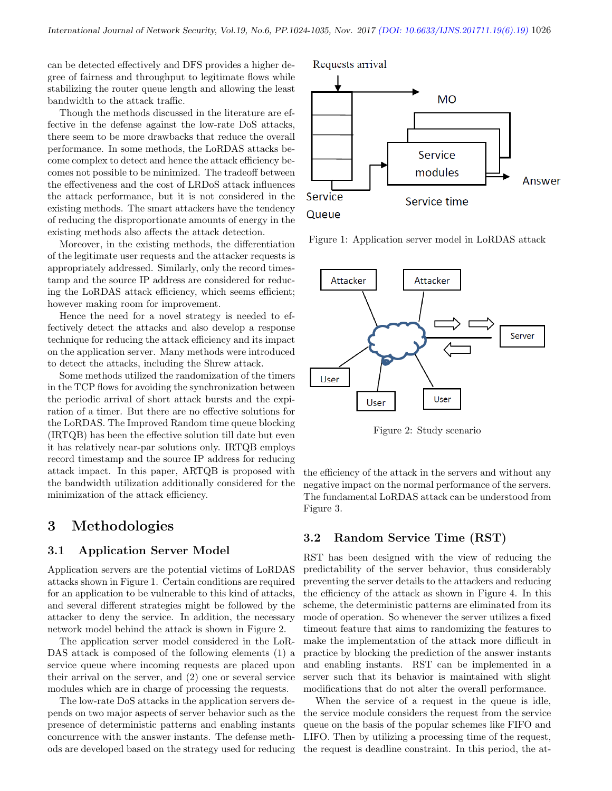can be detected effectively and DFS provides a higher degree of fairness and throughput to legitimate flows while stabilizing the router queue length and allowing the least bandwidth to the attack traffic.

Though the methods discussed in the literature are effective in the defense against the low-rate DoS attacks, there seem to be more drawbacks that reduce the overall performance. In some methods, the LoRDAS attacks become complex to detect and hence the attack efficiency becomes not possible to be minimized. The tradeoff between the effectiveness and the cost of LRDoS attack influences the attack performance, but it is not considered in the existing methods. The smart attackers have the tendency of reducing the disproportionate amounts of energy in the existing methods also affects the attack detection.

Moreover, in the existing methods, the differentiation of the legitimate user requests and the attacker requests is appropriately addressed. Similarly, only the record timestamp and the source IP address are considered for reducing the LoRDAS attack efficiency, which seems efficient; however making room for improvement.

Hence the need for a novel strategy is needed to effectively detect the attacks and also develop a response technique for reducing the attack efficiency and its impact on the application server. Many methods were introduced to detect the attacks, including the Shrew attack.

Some methods utilized the randomization of the timers in the TCP flows for avoiding the synchronization between the periodic arrival of short attack bursts and the expiration of a timer. But there are no effective solutions for the LoRDAS. The Improved Random time queue blocking (IRTQB) has been the effective solution till date but even it has relatively near-par solutions only. IRTQB employs record timestamp and the source IP address for reducing attack impact. In this paper, ARTQB is proposed with the bandwidth utilization additionally considered for the minimization of the attack efficiency.

## 3 Methodologies

#### 3.1 Application Server Model

Application servers are the potential victims of LoRDAS attacks shown in Figure 1. Certain conditions are required for an application to be vulnerable to this kind of attacks, and several different strategies might be followed by the attacker to deny the service. In addition, the necessary network model behind the attack is shown in Figure 2.

The application server model considered in the LoR-DAS attack is composed of the following elements (1) a service queue where incoming requests are placed upon their arrival on the server, and (2) one or several service modules which are in charge of processing the requests.

The low-rate DoS attacks in the application servers depends on two major aspects of server behavior such as the presence of deterministic patterns and enabling instants concurrence with the answer instants. The defense methods are developed based on the strategy used for reducing Requests arrival



Queue

Figure 1: Application server model in LoRDAS attack



Figure 2: Study scenario

the efficiency of the attack in the servers and without any negative impact on the normal performance of the servers. The fundamental LoRDAS attack can be understood from Figure 3.

#### 3.2 Random Service Time (RST)

RST has been designed with the view of reducing the predictability of the server behavior, thus considerably preventing the server details to the attackers and reducing the efficiency of the attack as shown in Figure 4. In this scheme, the deterministic patterns are eliminated from its mode of operation. So whenever the server utilizes a fixed timeout feature that aims to randomizing the features to make the implementation of the attack more difficult in practice by blocking the prediction of the answer instants and enabling instants. RST can be implemented in a server such that its behavior is maintained with slight modifications that do not alter the overall performance.

When the service of a request in the queue is idle, the service module considers the request from the service queue on the basis of the popular schemes like FIFO and LIFO. Then by utilizing a processing time of the request, the request is deadline constraint. In this period, the at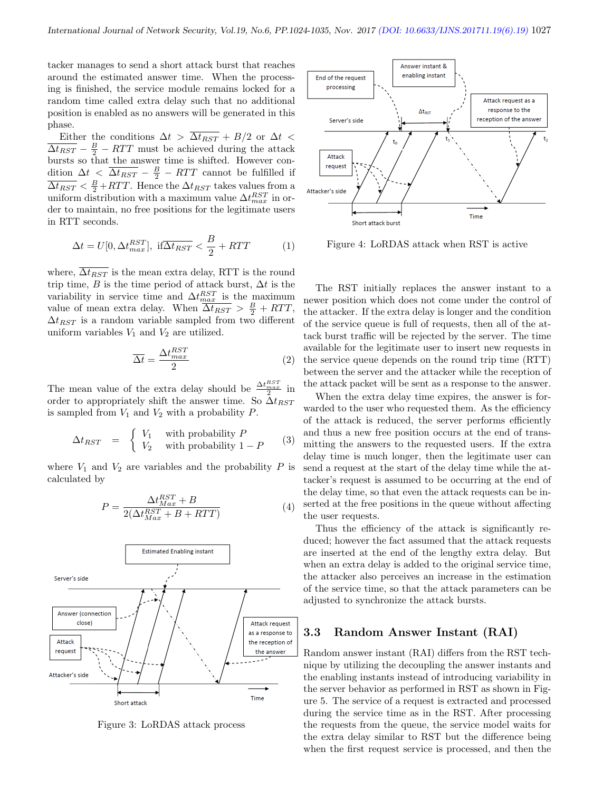tacker manages to send a short attack burst that reaches around the estimated answer time. When the processing is finished, the service module remains locked for a random time called extra delay such that no additional position is enabled as no answers will be generated in this phase.

Either the conditions  $\Delta t$  >  $\overline{\Delta t_{RST}}$  + B/2 or  $\Delta t$  <  $\overline{\Delta t_{RST}} - \frac{B}{2} - RTT$  must be achieved during the attack bursts so that the answer time is shifted. However condition  $\Delta t$  <  $\overline{\Delta t_{RST}}$  –  $\frac{B}{2}$  –  $RTT$  cannot be fulfilled if  $\overline{\Delta t_{RST}} < \frac{B}{2} + RTT$ . Hence the  $\Delta t_{RST}$  takes values from a uniform distribution with a maximum value  $\Delta t_{max}^{RST}$  in order to maintain, no free positions for the legitimate users in RTT seconds.

$$
\Delta t = U[0, \Delta t_{max}^{RST}], \text{ if } \overline{\Delta t_{RST}} < \frac{B}{2} + RTT \tag{1}
$$

where,  $\overline{\Delta t_{RST}}$  is the mean extra delay, RTT is the round trip time, B is the time period of attack burst,  $\Delta t$  is the variability in service time and  $\Delta t_{max}^{RST}$  is the maximum value of mean extra delay. When  $\overline{\Delta t_{RST}} > \frac{B}{2} + RTT$ ,  $\Delta t_{RST}$  is a random variable sampled from two different uniform variables  $V_1$  and  $V_2$  are utilized.

$$
\overline{\Delta t} = \frac{\Delta t_{max}^{RST}}{2} \tag{2}
$$

The mean value of the extra delay should be  $\frac{\Delta t}{t}$ RST max order to appropriately shift the answer time. So  $\Delta t_{RST}$ in is sampled from  $V_1$  and  $V_2$  with a probability  $P$ .

$$
\Delta t_{RST} = \begin{cases} V_1 & \text{with probability } P \\ V_2 & \text{with probability } 1 - P \end{cases}
$$
 (3)

where  $V_1$  and  $V_2$  are variables and the probability P is calculated by

$$
P = \frac{\Delta t_{Max}^{RST} + B}{2(\Delta t_{Max}^{RST} + B + RTT)}
$$
(4)



Figure 3: LoRDAS attack process



Figure 4: LoRDAS attack when RST is active

The RST initially replaces the answer instant to a newer position which does not come under the control of the attacker. If the extra delay is longer and the condition of the service queue is full of requests, then all of the attack burst traffic will be rejected by the server. The time available for the legitimate user to insert new requests in the service queue depends on the round trip time (RTT) between the server and the attacker while the reception of the attack packet will be sent as a response to the answer.

When the extra delay time expires, the answer is forwarded to the user who requested them. As the efficiency of the attack is reduced, the server performs efficiently and thus a new free position occurs at the end of transmitting the answers to the requested users. If the extra delay time is much longer, then the legitimate user can send a request at the start of the delay time while the attacker's request is assumed to be occurring at the end of the delay time, so that even the attack requests can be inserted at the free positions in the queue without affecting the user requests.

Thus the efficiency of the attack is significantly reduced; however the fact assumed that the attack requests are inserted at the end of the lengthy extra delay. But when an extra delay is added to the original service time, the attacker also perceives an increase in the estimation of the service time, so that the attack parameters can be adjusted to synchronize the attack bursts.

#### 3.3 Random Answer Instant (RAI)

Random answer instant (RAI) differs from the RST technique by utilizing the decoupling the answer instants and the enabling instants instead of introducing variability in the server behavior as performed in RST as shown in Figure 5. The service of a request is extracted and processed during the service time as in the RST. After processing the requests from the queue, the service model waits for the extra delay similar to RST but the difference being when the first request service is processed, and then the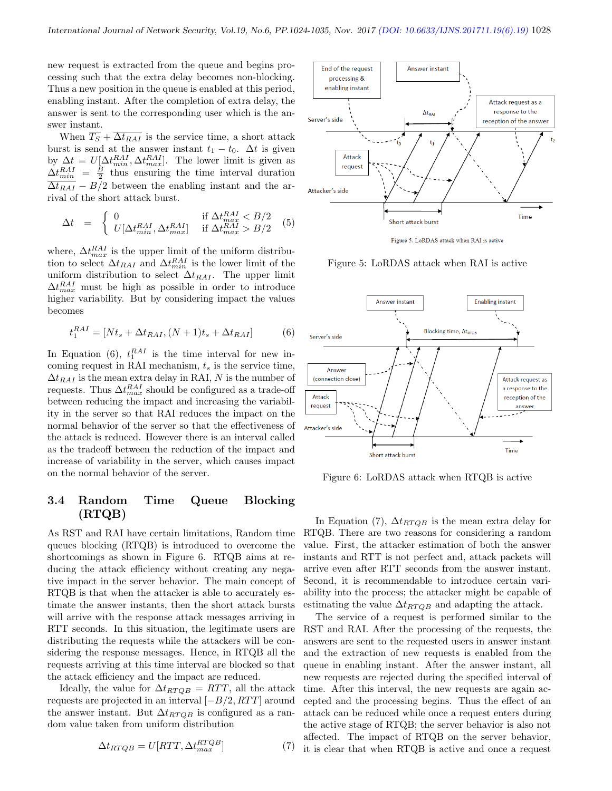new request is extracted from the queue and begins processing such that the extra delay becomes non-blocking. Thus a new position in the queue is enabled at this period, enabling instant. After the completion of extra delay, the answer is sent to the corresponding user which is the answer instant.

When  $\overline{T_S}$  +  $\overline{\Delta t_{RAI}}$  is the service time, a short attack burst is send at the answer instant  $t_1 - t_0$ .  $\Delta t$  is given by  $\Delta t = U[\Delta t_{min}^{RAI}, \Delta t_{max}^{RAI}]$ . The lower limit is given as  $\Delta t_{min}^{RAI} = \frac{B}{2}$  thus ensuring the time interval duration  $\overline{\Delta t_{RAI}} - B/2$  between the enabling instant and the arrival of the short attack burst.

$$
\Delta t = \begin{cases} 0 & \text{if } \Delta t_{max}^{RAI} < B/2\\ U[\Delta t_{min}^{RAI}, \Delta t_{max}^{RAI}] & \text{if } \Delta t_{max}^{RAI} > B/2 \end{cases} (5)
$$

where,  $\Delta t_{max}^{RAI}$  is the upper limit of the uniform distribution to select  $\Delta t_{RAI}$  and  $\Delta t_{min}^{RAI}$  is the lower limit of the uniform distribution to select  $\Delta t_{RAI}$ . The upper limit  $\Delta t_{max}^{RAI}$  must be high as possible in order to introduce higher variability. But by considering impact the values becomes

$$
t_1^{RAI} = [Nt_s + \Delta t_{RAI}, (N+1)t_s + \Delta t_{RAI}] \tag{6}
$$

In Equation (6),  $t_1^{RAI}$  is the time interval for new incoming request in RAI mechanism,  $t_s$  is the service time,  $\Delta t_{RAI}$  is the mean extra delay in RAI, N is the number of requests. Thus  $\Delta t^{RAI}_{max}$  should be configured as a trade-off between reducing the impact and increasing the variability in the server so that RAI reduces the impact on the normal behavior of the server so that the effectiveness of the attack is reduced. However there is an interval called as the tradeoff between the reduction of the impact and increase of variability in the server, which causes impact on the normal behavior of the server.

## 3.4 Random Time Queue Blocking (RTQB)

As RST and RAI have certain limitations, Random time queues blocking (RTQB) is introduced to overcome the shortcomings as shown in Figure 6. RTQB aims at reducing the attack efficiency without creating any negative impact in the server behavior. The main concept of RTQB is that when the attacker is able to accurately estimate the answer instants, then the short attack bursts will arrive with the response attack messages arriving in RTT seconds. In this situation, the legitimate users are distributing the requests while the attackers will be considering the response messages. Hence, in RTQB all the requests arriving at this time interval are blocked so that the attack efficiency and the impact are reduced.

Ideally, the value for  $\Delta t_{RTQB} = RTT$ , all the attack requests are projected in an interval  $[-B/2, RTT]$  around the answer instant. But  $\Delta t_{RTQB}$  is configured as a random value taken from uniform distribution

$$
\Delta t_{RTQB} = U[RTT, \Delta t_{max}^{RTQB}] \tag{7}
$$



Figure 5: LoRDAS attack when RAI is active



Figure 6: LoRDAS attack when RTQB is active

In Equation (7),  $\Delta t_{RTQB}$  is the mean extra delay for RTQB. There are two reasons for considering a random value. First, the attacker estimation of both the answer instants and RTT is not perfect and, attack packets will arrive even after RTT seconds from the answer instant. Second, it is recommendable to introduce certain variability into the process; the attacker might be capable of estimating the value  $\Delta t_{RTQB}$  and adapting the attack.

The service of a request is performed similar to the RST and RAI. After the processing of the requests, the answers are sent to the requested users in answer instant and the extraction of new requests is enabled from the queue in enabling instant. After the answer instant, all new requests are rejected during the specified interval of time. After this interval, the new requests are again accepted and the processing begins. Thus the effect of an attack can be reduced while once a request enters during the active stage of RTQB; the server behavior is also not affected. The impact of RTQB on the server behavior, it is clear that when RTQB is active and once a request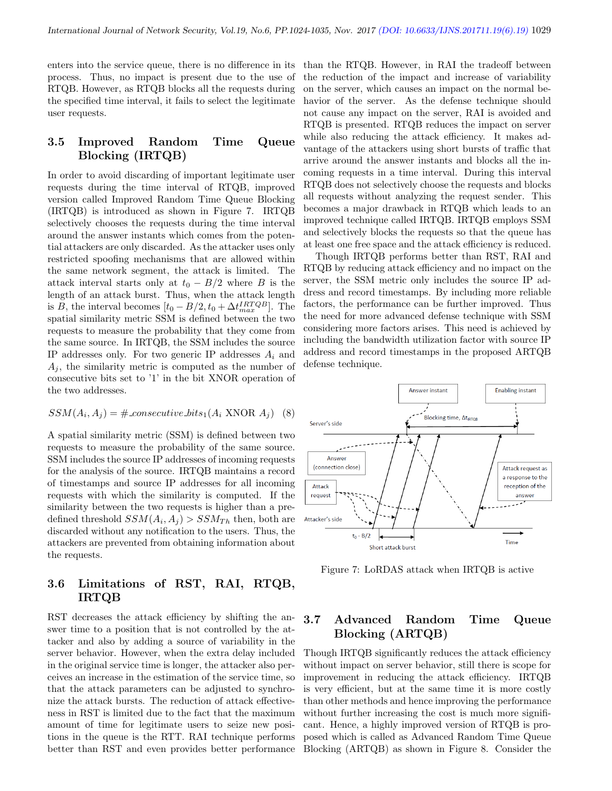enters into the service queue, there is no difference in its process. Thus, no impact is present due to the use of RTQB. However, as RTQB blocks all the requests during the specified time interval, it fails to select the legitimate user requests.

#### 3.5 Improved Random Time Queue Blocking (IRTQB)

In order to avoid discarding of important legitimate user requests during the time interval of RTQB, improved version called Improved Random Time Queue Blocking (IRTQB) is introduced as shown in Figure 7. IRTQB selectively chooses the requests during the time interval around the answer instants which comes from the potential attackers are only discarded. As the attacker uses only restricted spoofing mechanisms that are allowed within the same network segment, the attack is limited. The attack interval starts only at  $t_0 - B/2$  where B is the length of an attack burst. Thus, when the attack length is B, the interval becomes  $[t_0 - B/2, t_0 + \Delta t_{max}^{IRTQB}]$ . The spatial similarity metric SSM is defined between the two requests to measure the probability that they come from the same source. In IRTQB, the SSM includes the source IP addresses only. For two generic IP addresses  $A_i$  and  $A_i$ , the similarity metric is computed as the number of consecutive bits set to '1' in the bit XNOR operation of the two addresses.

$$
SSM(A_i, A_j) = #\text{consecutive\_bits}_1(A_i \text{ XNOR } A_j) \quad (8)
$$

A spatial similarity metric (SSM) is defined between two requests to measure the probability of the same source. SSM includes the source IP addresses of incoming requests for the analysis of the source. IRTQB maintains a record of timestamps and source IP addresses for all incoming requests with which the similarity is computed. If the similarity between the two requests is higher than a predefined threshold  $SSM(A_i, A_j) > SSM_{Th}$  then, both are discarded without any notification to the users. Thus, the attackers are prevented from obtaining information about the requests.

#### 3.6 Limitations of RST, RAI, RTQB, IRTQB

RST decreases the attack efficiency by shifting the answer time to a position that is not controlled by the attacker and also by adding a source of variability in the server behavior. However, when the extra delay included in the original service time is longer, the attacker also perceives an increase in the estimation of the service time, so that the attack parameters can be adjusted to synchronize the attack bursts. The reduction of attack effectiveness in RST is limited due to the fact that the maximum amount of time for legitimate users to seize new positions in the queue is the RTT. RAI technique performs better than RST and even provides better performance than the RTQB. However, in RAI the tradeoff between the reduction of the impact and increase of variability on the server, which causes an impact on the normal behavior of the server. As the defense technique should not cause any impact on the server, RAI is avoided and RTQB is presented. RTQB reduces the impact on server while also reducing the attack efficiency. It makes advantage of the attackers using short bursts of traffic that arrive around the answer instants and blocks all the incoming requests in a time interval. During this interval RTQB does not selectively choose the requests and blocks all requests without analyzing the request sender. This becomes a major drawback in RTQB which leads to an improved technique called IRTQB. IRTQB employs SSM and selectively blocks the requests so that the queue has at least one free space and the attack efficiency is reduced.

Though IRTQB performs better than RST, RAI and RTQB by reducing attack efficiency and no impact on the server, the SSM metric only includes the source IP address and record timestamps. By including more reliable factors, the performance can be further improved. Thus the need for more advanced defense technique with SSM considering more factors arises. This need is achieved by including the bandwidth utilization factor with source IP address and record timestamps in the proposed ARTQB defense technique.



Figure 7: LoRDAS attack when IRTQB is active

## 3.7 Advanced Random Time Queue Blocking (ARTQB)

Though IRTQB significantly reduces the attack efficiency without impact on server behavior, still there is scope for improvement in reducing the attack efficiency. IRTQB is very efficient, but at the same time it is more costly than other methods and hence improving the performance without further increasing the cost is much more significant. Hence, a highly improved version of RTQB is proposed which is called as Advanced Random Time Queue Blocking (ARTQB) as shown in Figure 8. Consider the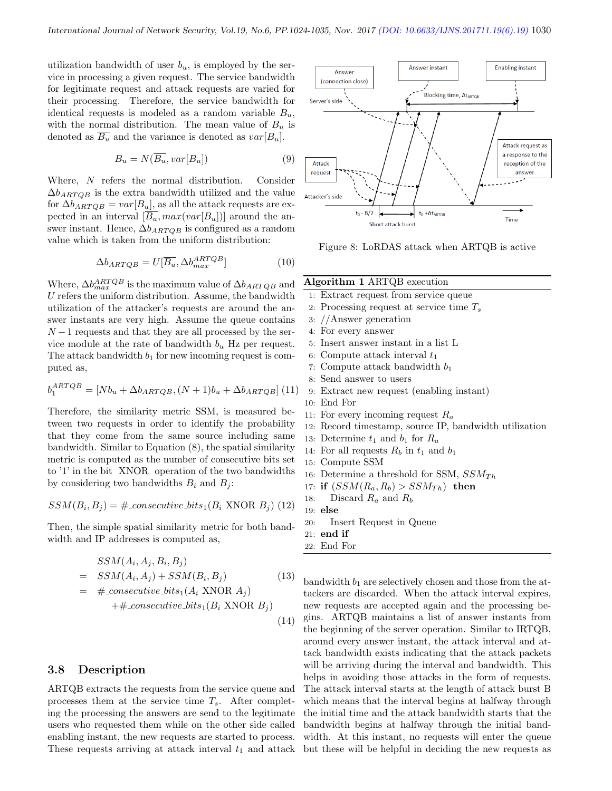utilization bandwidth of user  $b_u$ , is employed by the service in processing a given request. The service bandwidth for legitimate request and attack requests are varied for their processing. Therefore, the service bandwidth for identical requests is modeled as a random variable  $B_u$ , with the normal distribution. The mean value of  $B_u$  is denoted as  $\overline{B_u}$  and the variance is denoted as  $var[B_u]$ .

$$
B_u = N(\overline{B_u}, var[B_u])
$$
\n(9)

Where, N refers the normal distribution. Consider  $\Delta b_{ARTOB}$  is the extra bandwidth utilized and the value for  $\Delta b_{ARTQB} = var[B_u]$ , as all the attack requests are expected in an interval  $[\overline{B_u}, max(var[B_u])]$  around the answer instant. Hence,  $\Delta b_{ARTQB}$  is configured as a random value which is taken from the uniform distribution:

$$
\Delta b_{ARTQB} = U[\overline{B_u}, \Delta b_{max}^{ARTQB}] \tag{10}
$$

Where,  $\Delta b_{max}^{ARTQB}$  is the maximum value of  $\Delta b_{ARTQB}$  and  $U$  refers the uniform distribution. Assume, the bandwidth utilization of the attacker's requests are around the answer instants are very high. Assume the queue contains  $N-1$  requests and that they are all processed by the service module at the rate of bandwidth  $b_u$  Hz per request. The attack bandwidth  $b_1$  for new incoming request is computed as,

$$
b_1^{ARTQB} = [Nb_u + \Delta b_{ARTQB}, (N+1)b_u + \Delta b_{ARTQB}] \tag{11}
$$

Therefore, the similarity metric SSM, is measured between two requests in order to identify the probability that they come from the same source including same bandwidth. Similar to Equation (8), the spatial similarity metric is computed as the number of consecutive bits set to '1' in the bit XNOR operation of the two bandwidths by considering two bandwidths  $B_i$  and  $B_j$ :

$$
SSM(B_i, B_j) = #\text{.consecutive\_bits}_1(B_i \text{ XNOR } B_j) \ (12)
$$

Then, the simple spatial similarity metric for both bandwidth and IP addresses is computed as,

$$
SSM(A_i, A_j, B_i, B_j)
$$
  
=  $SSM(A_i, A_j) + SSM(B_i, B_j)$  (13)  
=  $\#$ -consecutive-bits<sub>1</sub>(A<sub>i</sub> XNOR A<sub>j</sub>)  
+ $\#$ -consecutive-bits<sub>1</sub>(B<sub>i</sub> XNOR B<sub>j</sub>)

#### 3.8 Description

ARTQB extracts the requests from the service queue and processes them at the service time  $T_s$ . After completing the processing the answers are send to the legitimate users who requested them while on the other side called enabling instant, the new requests are started to process. These requests arriving at attack interval  $t_1$  and attack



Figure 8: LoRDAS attack when ARTQB is active

#### Algorithm 1 ARTQB execution

- 1: Extract request from service queue
- 2: Processing request at service time  $T_s$
- 3: //Answer generation
- 4: For every answer
- 5: Insert answer instant in a list L
- 6: Compute attack interval  $t_1$
- 7: Compute attack bandwidth  $b_1$
- 8: Send answer to users
- 9: Extract new request (enabling instant)
- 10: End For
- 11: For every incoming request  $R_a$
- 12: Record timestamp, source IP, bandwidth utilization
- 13: Determine  $t_1$  and  $b_1$  for  $R_a$
- 14: For all requests  $R_b$  in  $t_1$  and  $b_1$
- 15: Compute SSM
- 16: Determine a threshold for SSM,  $SSM_{Th}$
- 17: if  $(SSM(R_a, R_b) > SSM_{Th})$  then
- 18: Discard  $R_a$  and  $R_b$
- 19: else
- 20: Insert Request in Queue
- 21: end if

22: End For

(14)

bandwidth  $b_1$  are selectively chosen and those from the attackers are discarded. When the attack interval expires, new requests are accepted again and the processing begins. ARTQB maintains a list of answer instants from the beginning of the server operation. Similar to IRTQB, around every answer instant, the attack interval and attack bandwidth exists indicating that the attack packets will be arriving during the interval and bandwidth. This helps in avoiding those attacks in the form of requests. The attack interval starts at the length of attack burst B which means that the interval begins at halfway through the initial time and the attack bandwidth starts that the bandwidth begins at halfway through the initial bandwidth. At this instant, no requests will enter the queue but these will be helpful in deciding the new requests as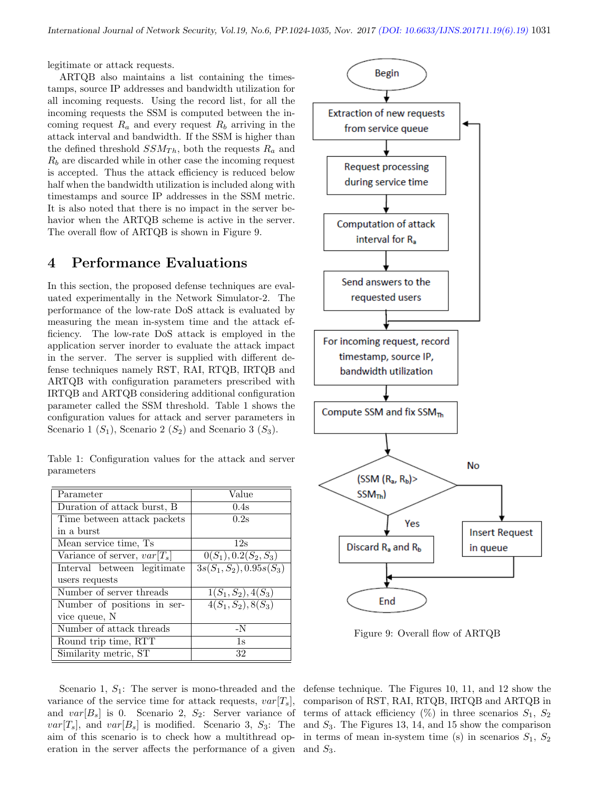legitimate or attack requests.

ARTQB also maintains a list containing the timestamps, source IP addresses and bandwidth utilization for all incoming requests. Using the record list, for all the incoming requests the SSM is computed between the incoming request  $R_a$  and every request  $R_b$  arriving in the attack interval and bandwidth. If the SSM is higher than the defined threshold  $SSM_{Th}$ , both the requests  $R_a$  and  $R_b$  are discarded while in other case the incoming request is accepted. Thus the attack efficiency is reduced below half when the bandwidth utilization is included along with timestamps and source IP addresses in the SSM metric. It is also noted that there is no impact in the server behavior when the ARTQB scheme is active in the server. The overall flow of ARTQB is shown in Figure 9.

## 4 Performance Evaluations

In this section, the proposed defense techniques are evaluated experimentally in the Network Simulator-2. The performance of the low-rate DoS attack is evaluated by measuring the mean in-system time and the attack efficiency. The low-rate DoS attack is employed in the application server inorder to evaluate the attack impact in the server. The server is supplied with different defense techniques namely RST, RAI, RTQB, IRTQB and ARTQB with configuration parameters prescribed with IRTQB and ARTQB considering additional configuration parameter called the SSM threshold. Table 1 shows the configuration values for attack and server parameters in Scenario 1  $(S_1)$ , Scenario 2  $(S_2)$  and Scenario 3  $(S_3)$ .

Table 1: Configuration values for the attack and server parameters

| Parameter                      | Value                                 |
|--------------------------------|---------------------------------------|
| Duration of attack burst, B.   | 0.4s                                  |
| Time between attack packets    | 0.2s                                  |
| in a burst                     |                                       |
| Mean service time, Ts          | 12s                                   |
| Variance of server, $var[T_s]$ | $0(S_1), 0.2(S_2, S_3)$               |
| Interval between legitimate    | $3s(S_1, S_2), \overline{0.95s(S_3)}$ |
| users requests                 |                                       |
| Number of server threads       | $1(S_1, S_2), 4(S_3)$                 |
| Number of positions in ser-    | $4(S_1, S_2), 8(S_3)$                 |
| vice queue, N                  |                                       |
| Number of attack threads       | $-N$                                  |
| Round trip time, RTT           | 1s                                    |
| Similarity metric, ST          | 32                                    |

Scenario 1,  $S_1$ : The server is mono-threaded and the variance of the service time for attack requests,  $var[T_s]$ , and  $var[B_s]$  is 0. Scenario 2,  $S_2$ : Server variance of  $var[T_s]$ , and  $var[B_s]$  is modified. Scenario 3,  $S_3$ : The aim of this scenario is to check how a multithread operation in the server affects the performance of a given and  $S_3$ .



Figure 9: Overall flow of ARTQB

defense technique. The Figures 10, 11, and 12 show the comparison of RST, RAI, RTQB, IRTQB and ARTQB in terms of attack efficiency  $(\%)$  in three scenarios  $S_1, S_2$ and  $S_3$ . The Figures 13, 14, and 15 show the comparison in terms of mean in-system time (s) in scenarios  $S_1, S_2$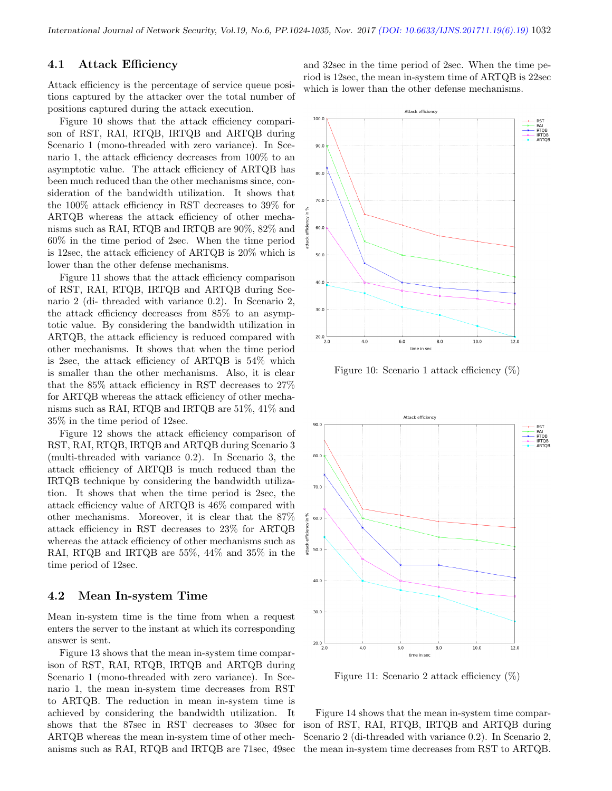#### 4.1 Attack Efficiency

Attack efficiency is the percentage of service queue positions captured by the attacker over the total number of positions captured during the attack execution.

Figure 10 shows that the attack efficiency comparison of RST, RAI, RTQB, IRTQB and ARTQB during Scenario 1 (mono-threaded with zero variance). In Scenario 1, the attack efficiency decreases from 100% to an asymptotic value. The attack efficiency of ARTQB has been much reduced than the other mechanisms since, consideration of the bandwidth utilization. It shows that the 100% attack efficiency in RST decreases to 39% for ARTQB whereas the attack efficiency of other mechanisms such as RAI, RTQB and IRTQB are 90%, 82% and 60% in the time period of 2sec. When the time period is 12sec, the attack efficiency of ARTQB is 20% which is lower than the other defense mechanisms.

Figure 11 shows that the attack efficiency comparison of RST, RAI, RTQB, IRTQB and ARTQB during Scenario 2 (di- threaded with variance 0.2). In Scenario 2, the attack efficiency decreases from 85% to an asymptotic value. By considering the bandwidth utilization in ARTQB, the attack efficiency is reduced compared with other mechanisms. It shows that when the time period is 2sec, the attack efficiency of ARTQB is 54% which is smaller than the other mechanisms. Also, it is clear that the 85% attack efficiency in RST decreases to 27% for ARTQB whereas the attack efficiency of other mechanisms such as RAI, RTQB and IRTQB are 51%, 41% and 35% in the time period of 12sec.

Figure 12 shows the attack efficiency comparison of RST, RAI, RTQB, IRTQB and ARTQB during Scenario 3 (multi-threaded with variance 0.2). In Scenario 3, the attack efficiency of ARTQB is much reduced than the IRTQB technique by considering the bandwidth utilization. It shows that when the time period is 2sec, the attack efficiency value of ARTQB is 46% compared with other mechanisms. Moreover, it is clear that the 87% attack efficiency in RST decreases to 23% for ARTQB whereas the attack efficiency of other mechanisms such as RAI, RTQB and IRTQB are 55%, 44% and 35% in the time period of 12sec.

#### 4.2 Mean In-system Time

Mean in-system time is the time from when a request enters the server to the instant at which its corresponding answer is sent.

Figure 13 shows that the mean in-system time comparison of RST, RAI, RTQB, IRTQB and ARTQB during Scenario 1 (mono-threaded with zero variance). In Scenario 1, the mean in-system time decreases from RST to ARTQB. The reduction in mean in-system time is achieved by considering the bandwidth utilization. It shows that the 87sec in RST decreases to 30sec for ARTQB whereas the mean in-system time of other mechanisms such as RAI, RTQB and IRTQB are 71sec, 49sec and 32sec in the time period of 2sec. When the time period is 12sec, the mean in-system time of ARTQB is 22sec which is lower than the other defense mechanisms.



Figure 10: Scenario 1 attack efficiency (%)



Figure 11: Scenario 2 attack efficiency (%)

Figure 14 shows that the mean in-system time comparison of RST, RAI, RTQB, IRTQB and ARTQB during Scenario 2 (di-threaded with variance 0.2). In Scenario 2, the mean in-system time decreases from RST to ARTQB.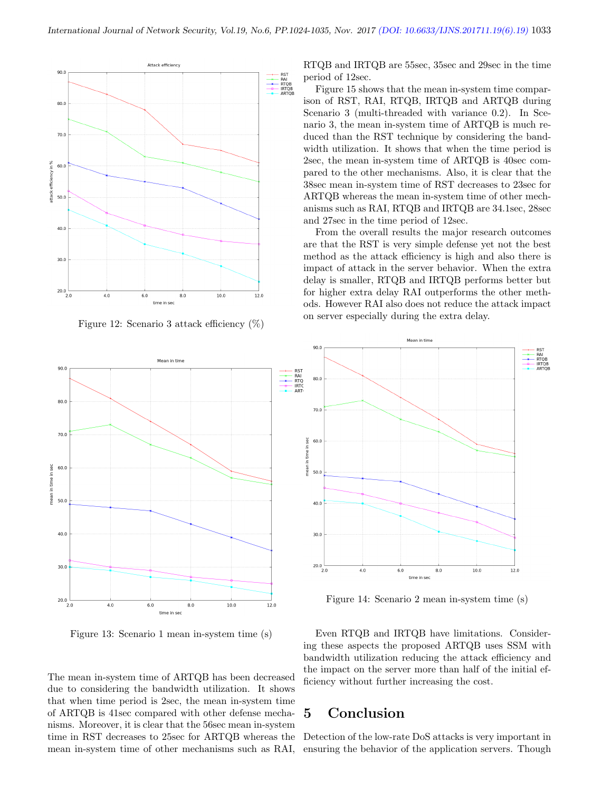

Figure 12: Scenario 3 attack efficiency (%)



Figure 13: Scenario 1 mean in-system time (s)

The mean in-system time of ARTQB has been decreased due to considering the bandwidth utilization. It shows that when time period is 2sec, the mean in-system time of ARTQB is 41sec compared with other defense mechanisms. Moreover, it is clear that the 56sec mean in-system time in RST decreases to 25sec for ARTQB whereas the mean in-system time of other mechanisms such as RAI, RTQB and IRTQB are 55sec, 35sec and 29sec in the time period of 12sec.

Figure 15 shows that the mean in-system time comparison of RST, RAI, RTQB, IRTQB and ARTQB during Scenario 3 (multi-threaded with variance 0.2). In Scenario 3, the mean in-system time of ARTQB is much reduced than the RST technique by considering the bandwidth utilization. It shows that when the time period is 2sec, the mean in-system time of ARTQB is 40sec compared to the other mechanisms. Also, it is clear that the 38sec mean in-system time of RST decreases to 23sec for ARTQB whereas the mean in-system time of other mechanisms such as RAI, RTQB and IRTQB are 34.1sec, 28sec and 27sec in the time period of 12sec.

From the overall results the major research outcomes are that the RST is very simple defense yet not the best method as the attack efficiency is high and also there is impact of attack in the server behavior. When the extra delay is smaller, RTQB and IRTQB performs better but for higher extra delay RAI outperforms the other methods. However RAI also does not reduce the attack impact on server especially during the extra delay.



Figure 14: Scenario 2 mean in-system time (s)

Even RTQB and IRTQB have limitations. Considering these aspects the proposed ARTQB uses SSM with bandwidth utilization reducing the attack efficiency and the impact on the server more than half of the initial efficiency without further increasing the cost.

## 5 Conclusion

Detection of the low-rate DoS attacks is very important in ensuring the behavior of the application servers. Though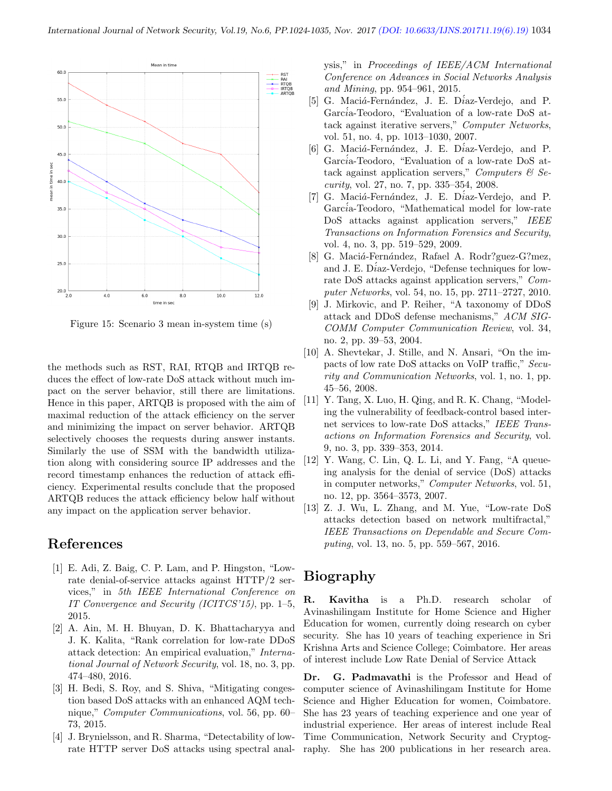

Figure 15: Scenario 3 mean in-system time (s)

the methods such as RST, RAI, RTQB and IRTQB reduces the effect of low-rate DoS attack without much impact on the server behavior, still there are limitations. Hence in this paper, ARTQB is proposed with the aim of maximal reduction of the attack efficiency on the server and minimizing the impact on server behavior. ARTQB selectively chooses the requests during answer instants. Similarly the use of SSM with the bandwidth utilization along with considering source IP addresses and the record timestamp enhances the reduction of attack efficiency. Experimental results conclude that the proposed ARTQB reduces the attack efficiency below half without any impact on the application server behavior.

## References

- [1] E. Adi, Z. Baig, C. P. Lam, and P. Hingston, "Lowrate denial-of-service attacks against HTTP/2 services," in 5th IEEE International Conference on IT Convergence and Security (ICITCS'15), pp. 1–5, 2015.
- [2] A. Ain, M. H. Bhuyan, D. K. Bhattacharyya and J. K. Kalita, "Rank correlation for low-rate DDoS attack detection: An empirical evaluation," International Journal of Network Security, vol. 18, no. 3, pp. 474–480, 2016.
- [3] H. Bedi, S. Roy, and S. Shiva, "Mitigating congestion based DoS attacks with an enhanced AQM technique," Computer Communications, vol. 56, pp. 60– 73, 2015.
- [4] J. Brynielsson, and R. Sharma, "Detectability of lowrate HTTP server DoS attacks using spectral anal-

ysis," in Proceedings of IEEE/ACM International Conference on Advances in Social Networks Analysis and Mining, pp. 954–961, 2015.

- [5] G. Maciá-Fernández, J. E. Díaz-Verdejo, and P. García-Teodoro, "Evaluation of a low-rate DoS attack against iterative servers," Computer Networks, vol. 51, no. 4, pp. 1013–1030, 2007.
- [6] G. Maciá-Fernández, J. E. Díaz-Verdejo, and P. García-Teodoro, "Evaluation of a low-rate DoS attack against application servers," Computers  $\mathcal B$  Security, vol. 27, no. 7, pp. 335–354, 2008.
- [7] G. Maciá-Fernández, J. E. Díaz-Verdejo, and P. García-Teodoro, "Mathematical model for low-rate DoS attacks against application servers," IEEE Transactions on Information Forensics and Security, vol. 4, no. 3, pp. 519–529, 2009.
- [8] G. Maciá-Fernández, Rafael A. Rodr?guez-G?mez, and J. E. D $i$ az-Verdejo, "Defense techniques for lowrate DoS attacks against application servers," Computer Networks, vol. 54, no. 15, pp. 2711–2727, 2010.
- [9] J. Mirkovic, and P. Reiher, "A taxonomy of DDoS attack and DDoS defense mechanisms," ACM SIG-COMM Computer Communication Review, vol. 34, no. 2, pp. 39–53, 2004.
- [10] A. Shevtekar, J. Stille, and N. Ansari, "On the impacts of low rate DoS attacks on VoIP traffic," Security and Communication Networks, vol. 1, no. 1, pp. 45–56, 2008.
- [11] Y. Tang, X. Luo, H. Qing, and R. K. Chang, "Modeling the vulnerability of feedback-control based internet services to low-rate DoS attacks," IEEE Transactions on Information Forensics and Security, vol. 9, no. 3, pp. 339–353, 2014.
- [12] Y. Wang, C. Lin, Q. L. Li, and Y. Fang, "A queueing analysis for the denial of service (DoS) attacks in computer networks," Computer Networks, vol. 51, no. 12, pp. 3564–3573, 2007.
- [13] Z. J. Wu, L. Zhang, and M. Yue, "Low-rate DoS attacks detection based on network multifractal," IEEE Transactions on Dependable and Secure Computing, vol. 13, no. 5, pp. 559–567, 2016.

# Biography

R. Kavitha is a Ph.D. research scholar of Avinashilingam Institute for Home Science and Higher Education for women, currently doing research on cyber security. She has 10 years of teaching experience in Sri Krishna Arts and Science College; Coimbatore. Her areas of interest include Low Rate Denial of Service Attack

Dr. G. Padmavathi is the Professor and Head of computer science of Avinashilingam Institute for Home Science and Higher Education for women, Coimbatore. She has 23 years of teaching experience and one year of industrial experience. Her areas of interest include Real Time Communication, Network Security and Cryptography. She has 200 publications in her research area.